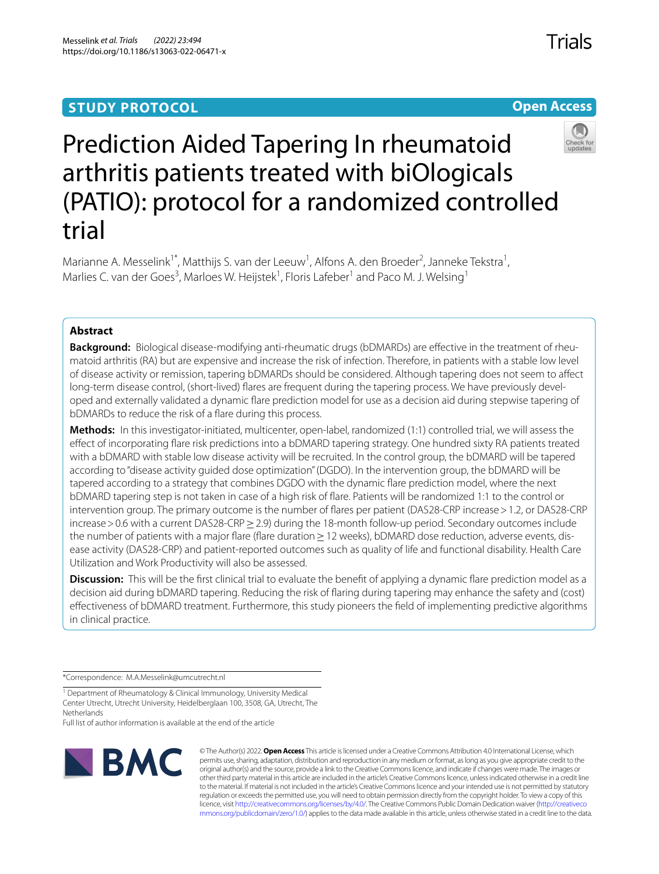# **STUDY PROTOCOL**





# Prediction Aided Tapering In rheumatoid arthritis patients treated with biOlogicals (PATIO): protocol for a randomized controlled trial

Marianne A. Messelink<sup>1\*</sup>, Matthijs S. van der Leeuw<sup>1</sup>, Alfons A. den Broeder<sup>2</sup>, Janneke Tekstra<sup>1</sup>, Marlies C. van der Goes<sup>3</sup>, Marloes W. Heijstek<sup>1</sup>, Floris Lafeber<sup>1</sup> and Paco M. J. Welsing<sup>1</sup>

# **Abstract**

**Background:** Biological disease-modifying anti-rheumatic drugs (bDMARDs) are efective in the treatment of rheumatoid arthritis (RA) but are expensive and increase the risk of infection. Therefore, in patients with a stable low level of disease activity or remission, tapering bDMARDs should be considered. Although tapering does not seem to afect long-term disease control, (short-lived) fares are frequent during the tapering process. We have previously developed and externally validated a dynamic fare prediction model for use as a decision aid during stepwise tapering of bDMARDs to reduce the risk of a fare during this process.

**Methods:** In this investigator-initiated, multicenter, open-label, randomized (1:1) controlled trial, we will assess the efect of incorporating fare risk predictions into a bDMARD tapering strategy. One hundred sixty RA patients treated with a bDMARD with stable low disease activity will be recruited. In the control group, the bDMARD will be tapered according to "disease activity guided dose optimization" (DGDO). In the intervention group, the bDMARD will be tapered according to a strategy that combines DGDO with the dynamic fare prediction model, where the next bDMARD tapering step is not taken in case of a high risk of fare. Patients will be randomized 1:1 to the control or intervention group. The primary outcome is the number of fares per patient (DAS28-CRP increase>1.2, or DAS28-CRP increase>0.6 with a current DAS28-CRP≥2.9) during the 18-month follow-up period. Secondary outcomes include the number of patients with a major flare (flare duration ≥ 12 weeks), bDMARD dose reduction, adverse events, disease activity (DAS28-CRP) and patient-reported outcomes such as quality of life and functional disability. Health Care Utilization and Work Productivity will also be assessed.

**Discussion:** This will be the first clinical trial to evaluate the benefit of applying a dynamic flare prediction model as a decision aid during bDMARD tapering. Reducing the risk of faring during tapering may enhance the safety and (cost) efectiveness of bDMARD treatment. Furthermore, this study pioneers the feld of implementing predictive algorithms in clinical practice.

\*Correspondence: M.A.Messelink@umcutrecht.nl

Full list of author information is available at the end of the article



© The Author(s) 2022. **Open Access** This article is licensed under a Creative Commons Attribution 4.0 International License, which permits use, sharing, adaptation, distribution and reproduction in any medium or format, as long as you give appropriate credit to the original author(s) and the source, provide a link to the Creative Commons licence, and indicate if changes were made. The images or other third party material in this article are included in the article's Creative Commons licence, unless indicated otherwise in a credit line to the material. If material is not included in the article's Creative Commons licence and your intended use is not permitted by statutory regulation or exceeds the permitted use, you will need to obtain permission directly from the copyright holder. To view a copy of this licence, visit [http://creativecommons.org/licenses/by/4.0/.](http://creativecommons.org/licenses/by/4.0/) The Creative Commons Public Domain Dedication waiver ([http://creativeco](http://creativecommons.org/publicdomain/zero/1.0/) [mmons.org/publicdomain/zero/1.0/](http://creativecommons.org/publicdomain/zero/1.0/)) applies to the data made available in this article, unless otherwise stated in a credit line to the data.

<sup>&</sup>lt;sup>1</sup> Department of Rheumatology & Clinical Immunology, University Medical Center Utrecht, Utrecht University, Heidelberglaan 100, 3508, GA, Utrecht, The **Netherlands**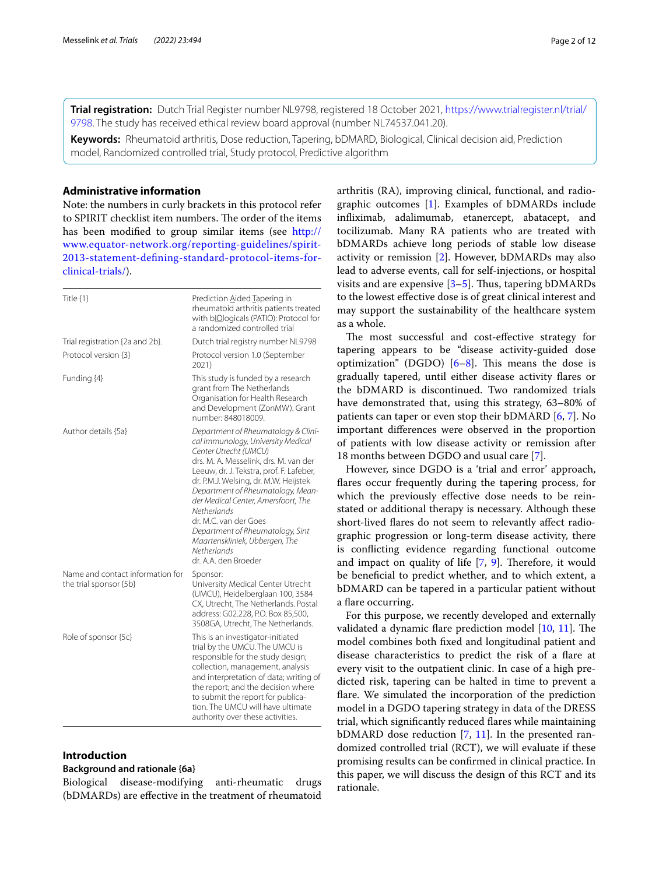**Trial registration:** Dutch Trial Register number NL9798, registered 18 October 2021, [https://www.trialregister.nl/trial/](https://www.trialregister.nl/trial/9798) [9798](https://www.trialregister.nl/trial/9798). The study has received ethical review board approval (number NL74537.041.20).

**Keywords:** Rheumatoid arthritis, Dose reduction, Tapering, bDMARD, Biological, Clinical decision aid, Prediction model, Randomized controlled trial, Study protocol, Predictive algorithm

## **Administrative information**

Note: the numbers in curly brackets in this protocol refer to SPIRIT checklist item numbers. The order of the items has been modifed to group similar items (see [http://](http://www.equator-network.org/reporting-guidelines/spirit-2013-statement-defining-standard-protocol-items-for-clinical-trials/) [www.equator-network.org/reporting-guidelines/spirit-](http://www.equator-network.org/reporting-guidelines/spirit-2013-statement-defining-standard-protocol-items-for-clinical-trials/)[2013-statement-defning-standard-protocol-items-for](http://www.equator-network.org/reporting-guidelines/spirit-2013-statement-defining-standard-protocol-items-for-clinical-trials/)[clinical-trials/\)](http://www.equator-network.org/reporting-guidelines/spirit-2013-statement-defining-standard-protocol-items-for-clinical-trials/).

| Title {1}                                                  | Prediction Aided Tapering in<br>rheumatoid arthritis patients treated<br>with blOlogicals (PATIO): Protocol for<br>a randomized controlled trial                                                                                                                                                                                                                                                                                                                                |  |  |  |  |
|------------------------------------------------------------|---------------------------------------------------------------------------------------------------------------------------------------------------------------------------------------------------------------------------------------------------------------------------------------------------------------------------------------------------------------------------------------------------------------------------------------------------------------------------------|--|--|--|--|
| Trial registration {2a and 2b}.                            | Dutch trial registry number NL9798                                                                                                                                                                                                                                                                                                                                                                                                                                              |  |  |  |  |
| Protocol version {3}                                       | Protocol version 1.0 (September<br>2021)                                                                                                                                                                                                                                                                                                                                                                                                                                        |  |  |  |  |
| Funding {4}                                                | This study is funded by a research<br>grant from The Netherlands<br>Organisation for Health Research<br>and Development (ZonMW). Grant<br>number: 848018009.                                                                                                                                                                                                                                                                                                                    |  |  |  |  |
| Author details {5a}                                        | Department of Rheumatology & Clini-<br>cal Immunology, University Medical<br>Center Utrecht (UMCU)<br>drs. M. A. Messelink, drs. M. van der<br>Leeuw, dr. J. Tekstra, prof. F. Lafeber,<br>dr. P.M.J. Welsing, dr. M.W. Heijstek<br>Department of Rheumatology, Mean-<br>der Medical Center, Amersfoort, The<br><b>Netherlands</b><br>dr. M.C. van der Goes<br>Department of Rheumatology, Sint<br>Maartenskliniek, Ubbergen, The<br><b>Netherlands</b><br>dr. A.A. den Broeder |  |  |  |  |
| Name and contact information for<br>the trial sponsor {5b} | Sponsor:<br>University Medical Center Utrecht<br>(UMCU), Heidelberglaan 100, 3584<br>CX, Utrecht, The Netherlands. Postal<br>address: G02.228, P.O. Box 85,500,<br>3508GA, Utrecht, The Netherlands.                                                                                                                                                                                                                                                                            |  |  |  |  |
| Role of sponsor {5c}                                       | This is an investigator-initiated<br>trial by the UMCU. The UMCU is<br>responsible for the study design;<br>collection, management, analysis<br>and interpretation of data; writing of<br>the report; and the decision where<br>to submit the report for publica-<br>tion. The UMCU will have ultimate<br>authority over these activities.                                                                                                                                      |  |  |  |  |

# **Introduction**

#### **Background and rationale {6a}**

Biological disease-modifying anti-rheumatic drugs (bDMARDs) are efective in the treatment of rheumatoid arthritis (RA), improving clinical, functional, and radiographic outcomes [\[1](#page-10-0)]. Examples of bDMARDs include infiximab, adalimumab, etanercept, abatacept, and tocilizumab. Many RA patients who are treated with bDMARDs achieve long periods of stable low disease activity or remission [[2\]](#page-10-1). However, bDMARDs may also lead to adverse events, call for self-injections, or hospital visits and are expensive  $[3-5]$  $[3-5]$ . Thus, tapering bDMARDs to the lowest efective dose is of great clinical interest and may support the sustainability of the healthcare system as a whole.

The most successful and cost-effective strategy for tapering appears to be "disease activity-guided dose optimization" (DGDO)  $[6-8]$  $[6-8]$  $[6-8]$ . This means the dose is gradually tapered, until either disease activity fares or the bDMARD is discontinued. Two randomized trials have demonstrated that, using this strategy, 63–80% of patients can taper or even stop their bDMARD [\[6](#page-10-4), [7\]](#page-10-6). No important diferences were observed in the proportion of patients with low disease activity or remission after 18 months between DGDO and usual care [\[7](#page-10-6)].

However, since DGDO is a 'trial and error' approach, fares occur frequently during the tapering process, for which the previously effective dose needs to be reinstated or additional therapy is necessary. Although these short-lived fares do not seem to relevantly afect radiographic progression or long-term disease activity, there is conficting evidence regarding functional outcome and impact on quality of life  $[7, 9]$  $[7, 9]$  $[7, 9]$ . Therefore, it would be benefcial to predict whether, and to which extent, a bDMARD can be tapered in a particular patient without a flare occurring.

For this purpose, we recently developed and externally validated a dynamic flare prediction model  $[10, 11]$  $[10, 11]$  $[10, 11]$  $[10, 11]$ . The model combines both fxed and longitudinal patient and disease characteristics to predict the risk of a fare at every visit to the outpatient clinic. In case of a high predicted risk, tapering can be halted in time to prevent a fare. We simulated the incorporation of the prediction model in a DGDO tapering strategy in data of the DRESS trial, which signifcantly reduced fares while maintaining bDMARD dose reduction [\[7](#page-10-6), [11\]](#page-10-9). In the presented randomized controlled trial (RCT), we will evaluate if these promising results can be confrmed in clinical practice. In this paper, we will discuss the design of this RCT and its rationale.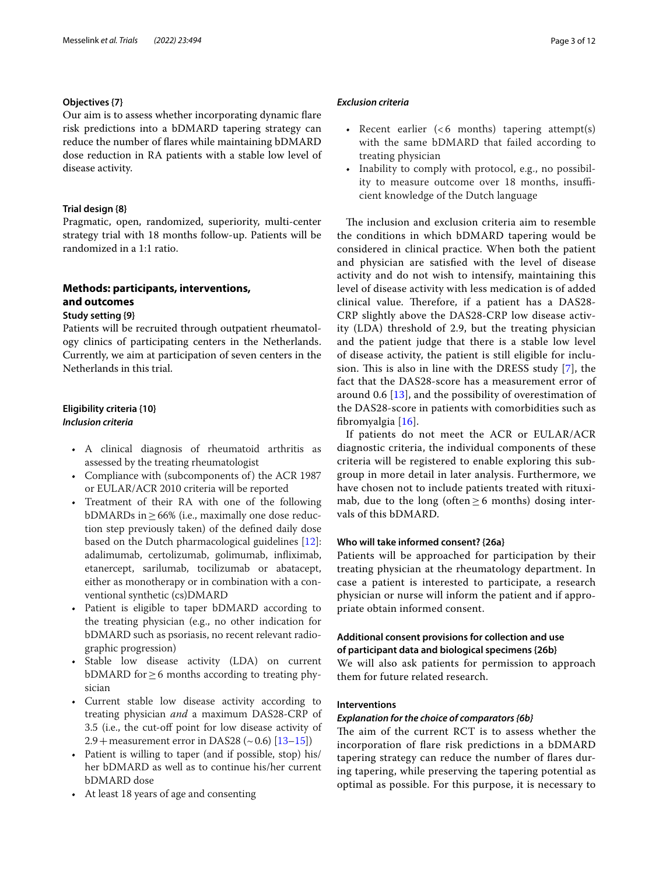# **Objectives {7}**

Our aim is to assess whether incorporating dynamic fare risk predictions into a bDMARD tapering strategy can reduce the number of fares while maintaining bDMARD dose reduction in RA patients with a stable low level of disease activity.

#### **Trial design {8}**

Pragmatic, open, randomized, superiority, multi-center strategy trial with 18 months follow-up. Patients will be randomized in a 1:1 ratio.

# **Methods: participants, interventions, and outcomes Study setting {9}**

Patients will be recruited through outpatient rheumatology clinics of participating centers in the Netherlands. Currently, we aim at participation of seven centers in the Netherlands in this trial.

# **Eligibility criteria {10}** *Inclusion criteria*

- A clinical diagnosis of rheumatoid arthritis as assessed by the treating rheumatologist
- Compliance with (subcomponents of) the ACR 1987 or EULAR/ACR 2010 criteria will be reported
- Treatment of their RA with one of the following bDMARDs in≥66% (i.e., maximally one dose reduction step previously taken) of the defned daily dose based on the Dutch pharmacological guidelines [[12](#page-10-10)]: adalimumab, certolizumab, golimumab, infiximab, etanercept, sarilumab, tocilizumab or abatacept, either as monotherapy or in combination with a conventional synthetic (cs)DMARD
- Patient is eligible to taper bDMARD according to the treating physician (e.g., no other indication for bDMARD such as psoriasis, no recent relevant radiographic progression)
- Stable low disease activity (LDA) on current bDMARD for≥6 months according to treating physician
- Current stable low disease activity according to treating physician *and* a maximum DAS28-CRP of 3.5 (i.e., the cut-of point for low disease activity of 2.9 + measurement error in DAS28 ( $\sim$  0.6) [[13](#page-10-11)[–15](#page-10-12)])
- Patient is willing to taper (and if possible, stop) his/ her bDMARD as well as to continue his/her current bDMARD dose
- At least 18 years of age and consenting

# *Exclusion criteria*

- Recent earlier  $( $6$  months) tapering attempt $(s)$$ with the same bDMARD that failed according to treating physician
- Inability to comply with protocol, e.g., no possibility to measure outcome over 18 months, insufficient knowledge of the Dutch language

The inclusion and exclusion criteria aim to resemble the conditions in which bDMARD tapering would be considered in clinical practice. When both the patient and physician are satisfed with the level of disease activity and do not wish to intensify, maintaining this level of disease activity with less medication is of added clinical value. Therefore, if a patient has a DAS28-CRP slightly above the DAS28-CRP low disease activity (LDA) threshold of 2.9, but the treating physician and the patient judge that there is a stable low level of disease activity, the patient is still eligible for inclu-sion. This is also in line with the DRESS study [\[7](#page-10-6)], the fact that the DAS28-score has a measurement error of around 0.6 [[13\]](#page-10-11), and the possibility of overestimation of the DAS28-score in patients with comorbidities such as fbromyalgia [[16](#page-10-13)].

If patients do not meet the ACR or EULAR/ACR diagnostic criteria, the individual components of these criteria will be registered to enable exploring this subgroup in more detail in later analysis. Furthermore, we have chosen not to include patients treated with rituximab, due to the long (often  $\geq$  6 months) dosing intervals of this bDMARD.

# **Who will take informed consent? {26a}**

Patients will be approached for participation by their treating physician at the rheumatology department. In case a patient is interested to participate, a research physician or nurse will inform the patient and if appropriate obtain informed consent.

# **Additional consent provisions for collection and use of participant data and biological specimens {26b}**

We will also ask patients for permission to approach them for future related research.

# **Interventions**

## *Explanation for the choice of comparators {6b}*

The aim of the current RCT is to assess whether the incorporation of fare risk predictions in a bDMARD tapering strategy can reduce the number of fares during tapering, while preserving the tapering potential as optimal as possible. For this purpose, it is necessary to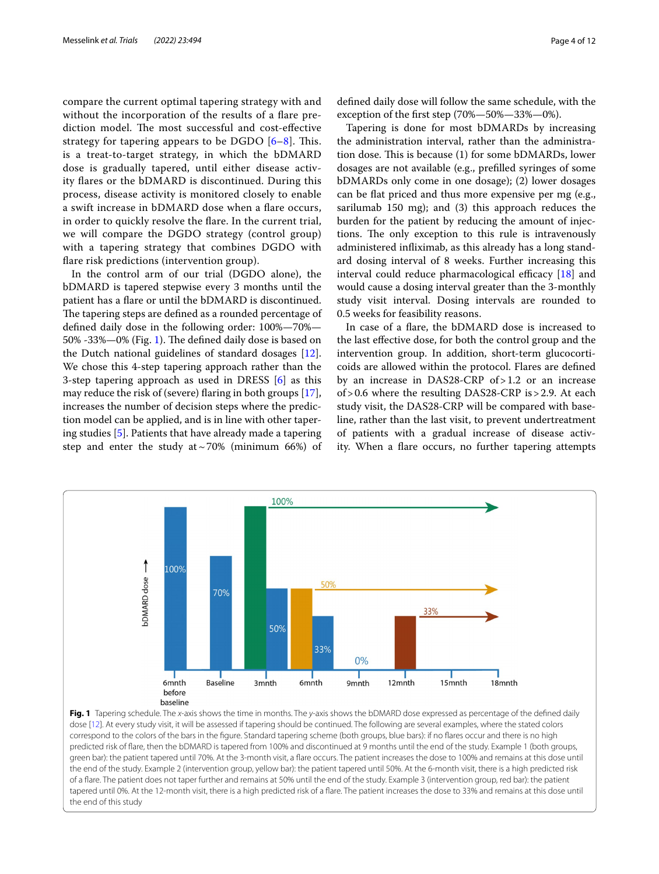compare the current optimal tapering strategy with and without the incorporation of the results of a flare prediction model. The most successful and cost-effective strategy for tapering appears to be DGDO  $[6-8]$  $[6-8]$  $[6-8]$ . This. is a treat-to-target strategy, in which the bDMARD dose is gradually tapered, until either disease activity fares or the bDMARD is discontinued. During this process, disease activity is monitored closely to enable a swift increase in bDMARD dose when a fare occurs, in order to quickly resolve the fare. In the current trial, we will compare the DGDO strategy (control group) with a tapering strategy that combines DGDO with fare risk predictions (intervention group).

In the control arm of our trial (DGDO alone), the bDMARD is tapered stepwise every 3 months until the patient has a fare or until the bDMARD is discontinued. The tapering steps are defined as a rounded percentage of defned daily dose in the following order: 100%—70%—  $50\%$  -33%—0% (Fig. [1](#page-3-0)). The defined daily dose is based on the Dutch national guidelines of standard dosages [\[12](#page-10-10)]. We chose this 4-step tapering approach rather than the 3-step tapering approach as used in DRESS [[6\]](#page-10-4) as this may reduce the risk of (severe) faring in both groups [\[17](#page-10-14)], increases the number of decision steps where the prediction model can be applied, and is in line with other tapering studies [[5\]](#page-10-3). Patients that have already made a tapering step and enter the study at  $\sim$  70% (minimum 66%) of defned daily dose will follow the same schedule, with the exception of the frst step (70%—50%—33%—0%).

Tapering is done for most bDMARDs by increasing the administration interval, rather than the administration dose. This is because (1) for some bDMARDs, lower dosages are not available (e.g., preflled syringes of some bDMARDs only come in one dosage); (2) lower dosages can be fat priced and thus more expensive per mg (e.g., sarilumab 150 mg); and (3) this approach reduces the burden for the patient by reducing the amount of injections. The only exception to this rule is intravenously administered infiximab, as this already has a long standard dosing interval of 8 weeks. Further increasing this interval could reduce pharmacological efficacy  $[18]$  $[18]$  and would cause a dosing interval greater than the 3-monthly study visit interval. Dosing intervals are rounded to 0.5 weeks for feasibility reasons.

In case of a fare, the bDMARD dose is increased to the last efective dose, for both the control group and the intervention group. In addition, short-term glucocorticoids are allowed within the protocol. Flares are defned by an increase in DAS28-CRP of>1.2 or an increase of>0.6 where the resulting DAS28-CRP is>2.9. At each study visit, the DAS28-CRP will be compared with baseline, rather than the last visit, to prevent undertreatment of patients with a gradual increase of disease activity. When a fare occurs, no further tapering attempts



<span id="page-3-0"></span>dose [\[12](#page-10-10)]. At every study visit, it will be assessed if tapering should be continued. The following are several examples, where the stated colors correspond to the colors of the bars in the fgure. Standard tapering scheme (both groups, blue bars): if no fares occur and there is no high predicted risk of fare, then the bDMARD is tapered from 100% and discontinued at 9 months until the end of the study. Example 1 (both groups, green bar): the patient tapered until 70%. At the 3-month visit, a flare occurs. The patient increases the dose to 100% and remains at this dose until the end of the study. Example 2 (intervention group, yellow bar): the patient tapered until 50%. At the 6-month visit, there is a high predicted risk of a fare. The patient does not taper further and remains at 50% until the end of the study. Example 3 (intervention group, red bar): the patient tapered until 0%. At the 12-month visit, there is a high predicted risk of a fare. The patient increases the dose to 33% and remains at this dose until the end of this study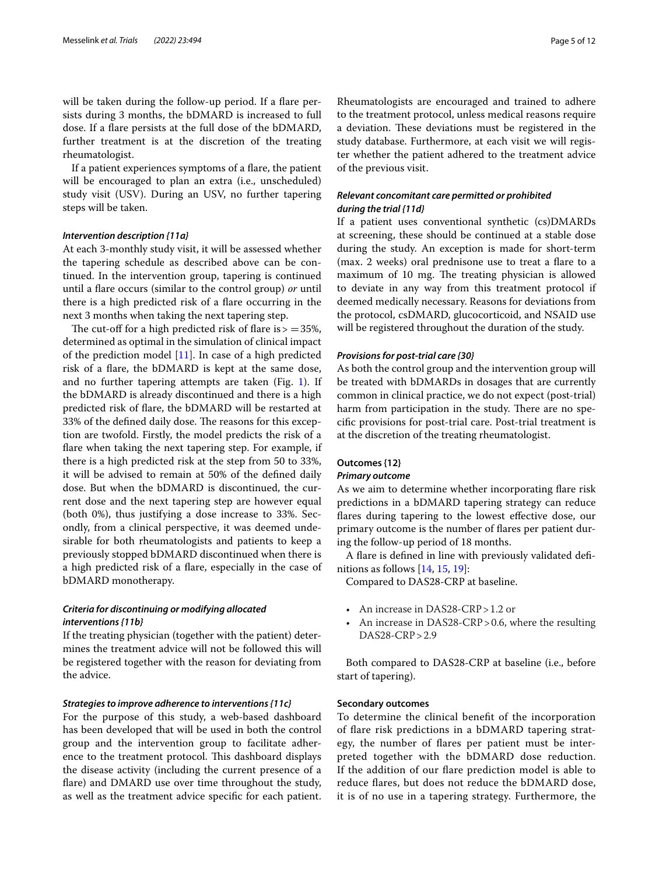will be taken during the follow-up period. If a flare persists during 3 months, the bDMARD is increased to full dose. If a fare persists at the full dose of the bDMARD, further treatment is at the discretion of the treating rheumatologist.

If a patient experiences symptoms of a fare, the patient will be encouraged to plan an extra (i.e., unscheduled) study visit (USV). During an USV, no further tapering steps will be taken.

#### *Intervention description {11a}*

At each 3-monthly study visit, it will be assessed whether the tapering schedule as described above can be continued. In the intervention group, tapering is continued until a fare occurs (similar to the control group) *or* until there is a high predicted risk of a fare occurring in the next 3 months when taking the next tapering step.

The cut-off for a high predicted risk of flare is  $> = 35\%$ , determined as optimal in the simulation of clinical impact of the prediction model [\[11](#page-10-9)]. In case of a high predicted risk of a fare, the bDMARD is kept at the same dose, and no further tapering attempts are taken (Fig. [1\)](#page-3-0). If the bDMARD is already discontinued and there is a high predicted risk of fare, the bDMARD will be restarted at 33% of the defined daily dose. The reasons for this exception are twofold. Firstly, the model predicts the risk of a fare when taking the next tapering step. For example, if there is a high predicted risk at the step from 50 to 33%, it will be advised to remain at 50% of the defned daily dose. But when the bDMARD is discontinued, the current dose and the next tapering step are however equal (both 0%), thus justifying a dose increase to 33%. Secondly, from a clinical perspective, it was deemed undesirable for both rheumatologists and patients to keep a previously stopped bDMARD discontinued when there is a high predicted risk of a fare, especially in the case of bDMARD monotherapy.

# *Criteria for discontinuing or modifying allocated interventions {11b}*

If the treating physician (together with the patient) determines the treatment advice will not be followed this will be registered together with the reason for deviating from the advice.

## *Strategies to improve adherence to interventions {11c}*

For the purpose of this study, a web-based dashboard has been developed that will be used in both the control group and the intervention group to facilitate adherence to the treatment protocol. This dashboard displays the disease activity (including the current presence of a fare) and DMARD use over time throughout the study, as well as the treatment advice specifc for each patient.

Rheumatologists are encouraged and trained to adhere to the treatment protocol, unless medical reasons require a deviation. These deviations must be registered in the study database. Furthermore, at each visit we will register whether the patient adhered to the treatment advice of the previous visit.

# *Relevant concomitant care permitted or prohibited during the trial {11d}*

If a patient uses conventional synthetic (cs)DMARDs at screening, these should be continued at a stable dose during the study. An exception is made for short-term (max. 2 weeks) oral prednisone use to treat a flare to a maximum of 10 mg. The treating physician is allowed to deviate in any way from this treatment protocol if deemed medically necessary. Reasons for deviations from the protocol, csDMARD, glucocorticoid, and NSAID use will be registered throughout the duration of the study.

#### *Provisions for post‑trial care {30}*

As both the control group and the intervention group will be treated with bDMARDs in dosages that are currently common in clinical practice, we do not expect (post-trial) harm from participation in the study. There are no specifc provisions for post-trial care. Post-trial treatment is at the discretion of the treating rheumatologist.

# **Outcomes {12}**

# *Primary outcome*

As we aim to determine whether incorporating fare risk predictions in a bDMARD tapering strategy can reduce fares during tapering to the lowest efective dose, our primary outcome is the number of fares per patient during the follow-up period of 18 months.

A fare is defned in line with previously validated defnitions as follows [[14](#page-10-16), [15,](#page-10-12) [19](#page-10-17)]:

Compared to DAS28-CRP at baseline.

- An increase in DAS28-CRP > 1.2 or
- An increase in DAS28-CRP > 0.6, where the resulting DAS28-CRP>2.9

Both compared to DAS28-CRP at baseline (i.e., before start of tapering).

#### **Secondary outcomes**

To determine the clinical beneft of the incorporation of fare risk predictions in a bDMARD tapering strategy, the number of fares per patient must be interpreted together with the bDMARD dose reduction. If the addition of our fare prediction model is able to reduce fares, but does not reduce the bDMARD dose, it is of no use in a tapering strategy. Furthermore, the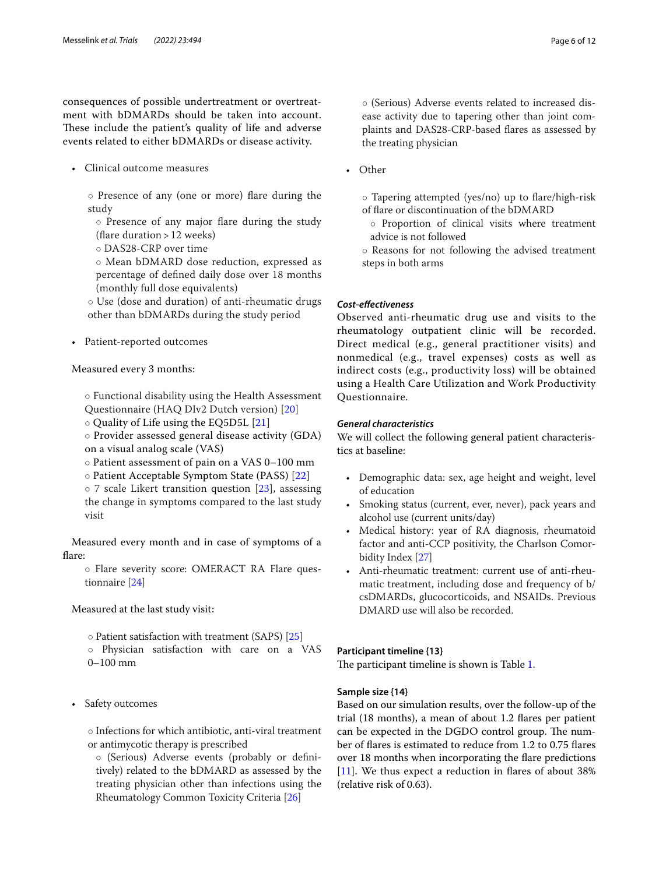consequences of possible undertreatment or overtreatment with bDMARDs should be taken into account. These include the patient's quality of life and adverse events related to either bDMARDs or disease activity.

• Clinical outcome measures

◦ Presence of any (one or more) fare during the study

◦ Presence of any major fare during the study (flare duration  $> 12$  weeks)

◦ DAS28-CRP over time

◦ Mean bDMARD dose reduction, expressed as percentage of defned daily dose over 18 months (monthly full dose equivalents)

◦ Use (dose and duration) of anti-rheumatic drugs other than bDMARDs during the study period

• Patient-reported outcomes

Measured every 3 months:

◦ Functional disability using the Health Assessment Questionnaire (HAQ DIv2 Dutch version) [[20\]](#page-10-18)

◦ Quality of Life using the EQ5D5L [[21\]](#page-10-19)

◦ Provider assessed general disease activity (GDA)

on a visual analog scale (VAS)

◦ Patient assessment of pain on a VAS 0–100 mm

◦ Patient Acceptable Symptom State (PASS) [[22\]](#page-10-20)

◦ 7 scale Likert transition question [[23\]](#page-10-21), assessing the change in symptoms compared to the last study visit

Measured every month and in case of symptoms of a flare:

◦ Flare severity score: OMERACT RA Flare questionnaire [[24](#page-10-22)]

Measured at the last study visit:

◦ Patient satisfaction with treatment (SAPS) [\[25\]](#page-10-23)

◦ Physician satisfaction with care on a VAS 0–100 mm

• Safety outcomes

◦ Infections for which antibiotic, anti-viral treatment or antimycotic therapy is prescribed

◦ (Serious) Adverse events (probably or defnitively) related to the bDMARD as assessed by the treating physician other than infections using the Rheumatology Common Toxicity Criteria [[26](#page-10-24)]

• Other

◦ Tapering attempted (yes/no) up to fare/high-risk of fare or discontinuation of the bDMARD

◦ Proportion of clinical visits where treatment advice is not followed

◦ Reasons for not following the advised treatment steps in both arms

# *Cost‑efectiveness*

Observed anti-rheumatic drug use and visits to the rheumatology outpatient clinic will be recorded. Direct medical (e.g., general practitioner visits) and nonmedical (e.g., travel expenses) costs as well as indirect costs (e.g., productivity loss) will be obtained using a Health Care Utilization and Work Productivity Questionnaire.

# *General characteristics*

We will collect the following general patient characteristics at baseline:

- Demographic data: sex, age height and weight, level of education
- Smoking status (current, ever, never), pack years and alcohol use (current units/day)
- Medical history: year of RA diagnosis, rheumatoid factor and anti-CCP positivity, the Charlson Comorbidity Index [\[27\]](#page-10-25)
- Anti-rheumatic treatment: current use of anti-rheumatic treatment, including dose and frequency of b/ csDMARDs, glucocorticoids, and NSAIDs. Previous DMARD use will also be recorded.

# **Participant timeline {13}**

The participant timeline is shown is Table [1.](#page-6-0)

# **Sample size {14}**

Based on our simulation results, over the follow-up of the trial (18 months), a mean of about 1.2 fares per patient can be expected in the DGDO control group. The number of fares is estimated to reduce from 1.2 to 0.75 fares over 18 months when incorporating the fare predictions [[11\]](#page-10-9). We thus expect a reduction in flares of about 38% (relative risk of 0.63).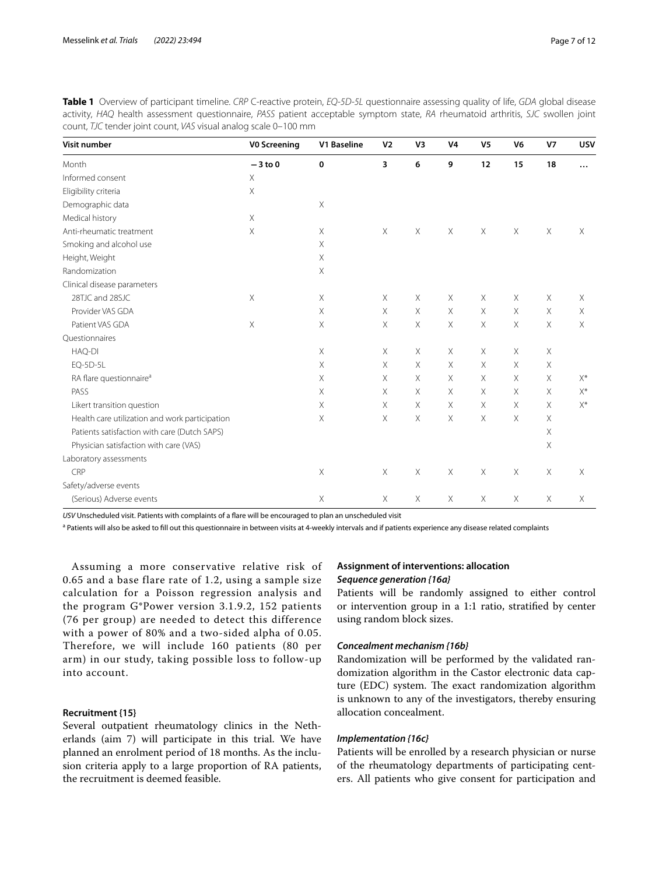| Visit number                                   | <b>VO Screening</b> | V1 Baseline | V <sub>2</sub> | V3       | V <sub>4</sub>        | V <sub>5</sub> | V <sub>6</sub>            | V <sub>7</sub>            | <b>USV</b>     |
|------------------------------------------------|---------------------|-------------|----------------|----------|-----------------------|----------------|---------------------------|---------------------------|----------------|
| Month                                          | $-3$ to 0           | $\mathbf 0$ | 3              | 6        | 9                     | 12             | 15                        | 18                        | $\cdots$       |
| Informed consent                               | Χ                   |             |                |          |                       |                |                           |                           |                |
| Eligibility criteria                           | $\mathsf X$         |             |                |          |                       |                |                           |                           |                |
| Demographic data                               |                     | $\mathsf X$ |                |          |                       |                |                           |                           |                |
| Medical history                                | $\mathsf X$         |             |                |          |                       |                |                           |                           |                |
| Anti-rheumatic treatment                       | $\mathsf X$         | $\mathsf X$ | $\mathsf X$    | $\times$ | $\mathsf X$           | $\times$       | $\mathsf X$               | $\boldsymbol{\mathsf{X}}$ | $\times$       |
| Smoking and alcohol use                        |                     | Χ           |                |          |                       |                |                           |                           |                |
| Height, Weight                                 |                     | X           |                |          |                       |                |                           |                           |                |
| Randomization                                  |                     | $\mathsf X$ |                |          |                       |                |                           |                           |                |
| Clinical disease parameters                    |                     |             |                |          |                       |                |                           |                           |                |
| 28TJC and 28SJC                                | X                   | $\mathsf X$ | $\times$       | $\times$ | Χ                     | X              | Χ                         | Χ                         | X              |
| Provider VAS GDA                               |                     | $\mathsf X$ | $\times$       | X        | $\times$              | $\times$       | $\times$                  | $\times$                  | X              |
| Patient VAS GDA                                | Χ                   | Χ           | $\times$       | X        | $\mathsf X$           | $\times$       | $\boldsymbol{\mathsf{X}}$ | Χ                         | Χ              |
| Questionnaires                                 |                     |             |                |          |                       |                |                           |                           |                |
| HAQ-DI                                         |                     | $\mathsf X$ | $\times$       | Χ        | $\times$              | X              | $\times$                  | Χ                         |                |
| EQ-5D-5L                                       |                     | Χ           | X              | X        | Χ                     | $\times$       | $\times$                  | Χ                         |                |
| RA flare questionnaire <sup>a</sup>            |                     | Χ           | $\times$       | $\times$ | $\times$              | $\times$       | $\times$                  | Χ                         | $X^*$          |
| PASS                                           |                     | Χ           | $\times$       | X        | $\times$              | X              | $\times$                  | Χ                         | $\mathsf{X}^*$ |
| Likert transition question                     |                     | Χ           | X              | X        | Χ                     | $\times$       | $\times$                  | Χ                         | $X^*$          |
| Health care utilization and work participation |                     | X           | $\times$       | $\times$ | $\mathsf X$           | $\times$       | $\times$                  | Χ                         |                |
| Patients satisfaction with care (Dutch SAPS)   |                     |             |                |          |                       |                |                           | Χ                         |                |
| Physician satisfaction with care (VAS)         |                     |             |                |          |                       |                |                           | Χ                         |                |
| Laboratory assessments                         |                     |             |                |          |                       |                |                           |                           |                |
| CRP                                            |                     | $\mathsf X$ | $\times$       | X        | $\boldsymbol{\times}$ | $\times$       | $\boldsymbol{\mathsf{X}}$ | Χ                         | X              |
| Safety/adverse events                          |                     |             |                |          |                       |                |                           |                           |                |
| (Serious) Adverse events                       |                     | Χ           | $\times$       | $\times$ | $\mathsf X$           | X              | $\boldsymbol{\mathsf{X}}$ | Χ                         | Χ              |

<span id="page-6-0"></span>**Table 1** Overview of participant timeline. *CRP* C-reactive protein, *EQ-5D-5L* questionnaire assessing quality of life, *GDA* global disease activity, *HAQ* health assessment questionnaire, *PASS* patient acceptable symptom state, *RA* rheumatoid arthritis, *SJC* swollen joint count, *TJC* tender joint count, *VAS* visual analog scale 0–100 mm

*USV* Unscheduled visit. Patients with complaints of a fare will be encouraged to plan an unscheduled visit

<sup>a</sup> Patients will also be asked to fill out this questionnaire in between visits at 4-weekly intervals and if patients experience any disease related complaints

Assuming a more conservative relative risk of 0.65 and a base flare rate of 1.2, using a sample size calculation for a Poisson regression analysis and the program G\*Power version 3.1.9.2, 152 patients (76 per group) are needed to detect this difference with a power of 80% and a two-sided alpha of 0.05. Therefore, we will include 160 patients (80 per arm) in our study, taking possible loss to follow-up into account.

# **Recruitment {15}**

Several outpatient rheumatology clinics in the Netherlands (aim 7) will participate in this trial. We have planned an enrolment period of 18 months. As the inclusion criteria apply to a large proportion of RA patients, the recruitment is deemed feasible.

# **Assignment of interventions: allocation** *Sequence generation {16a}*

Patients will be randomly assigned to either control or intervention group in a 1:1 ratio, stratifed by center using random block sizes.

#### *Concealment mechanism {16b}*

Randomization will be performed by the validated randomization algorithm in the Castor electronic data capture (EDC) system. The exact randomization algorithm is unknown to any of the investigators, thereby ensuring allocation concealment.

#### *Implementation {16c}*

Patients will be enrolled by a research physician or nurse of the rheumatology departments of participating centers. All patients who give consent for participation and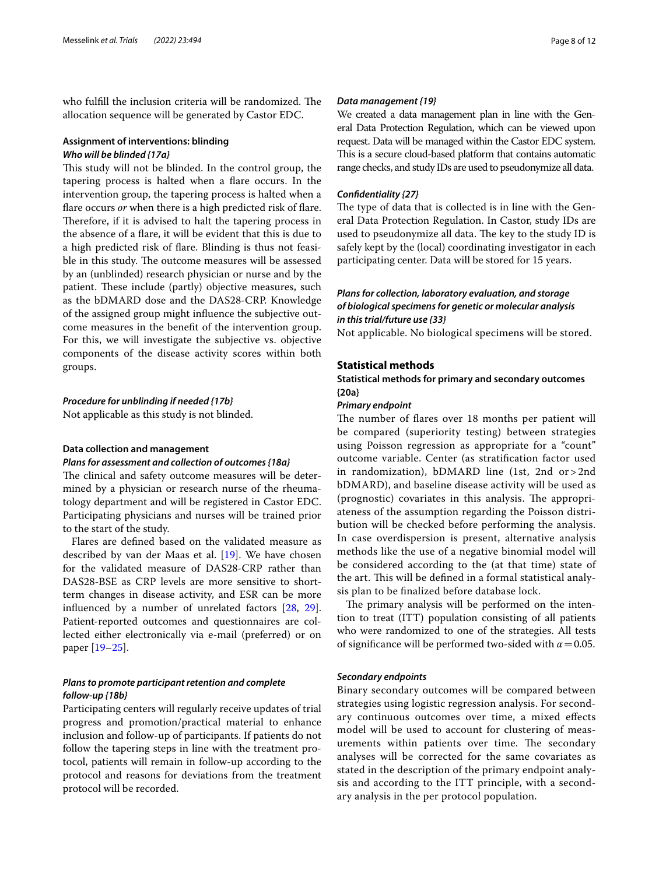who fulfill the inclusion criteria will be randomized. The allocation sequence will be generated by Castor EDC.

# **Assignment of interventions: blinding** *Who will be blinded {17a}*

This study will not be blinded. In the control group, the tapering process is halted when a fare occurs. In the intervention group, the tapering process is halted when a flare occurs *or* when there is a high predicted risk of flare. Therefore, if it is advised to halt the tapering process in the absence of a fare, it will be evident that this is due to a high predicted risk of fare. Blinding is thus not feasible in this study. The outcome measures will be assessed by an (unblinded) research physician or nurse and by the patient. These include (partly) objective measures, such as the bDMARD dose and the DAS28-CRP. Knowledge of the assigned group might infuence the subjective outcome measures in the beneft of the intervention group. For this, we will investigate the subjective vs. objective components of the disease activity scores within both groups.

#### *Procedure for unblinding if needed {17b}*

Not applicable as this study is not blinded.

#### **Data collection and management**

#### *Plans for assessment and collection of outcomes {18a}*

The clinical and safety outcome measures will be determined by a physician or research nurse of the rheumatology department and will be registered in Castor EDC. Participating physicians and nurses will be trained prior to the start of the study.

Flares are defned based on the validated measure as described by van der Maas et al. [[19\]](#page-10-17). We have chosen for the validated measure of DAS28-CRP rather than DAS28-BSE as CRP levels are more sensitive to shortterm changes in disease activity, and ESR can be more infuenced by a number of unrelated factors [\[28](#page-10-26), [29](#page-10-27)]. Patient-reported outcomes and questionnaires are collected either electronically via e-mail (preferred) or on paper [\[19](#page-10-17)[–25](#page-10-23)].

# *Plans to promote participant retention and complete follow‑up {18b}*

Participating centers will regularly receive updates of trial progress and promotion/practical material to enhance inclusion and follow-up of participants. If patients do not follow the tapering steps in line with the treatment protocol, patients will remain in follow-up according to the protocol and reasons for deviations from the treatment protocol will be recorded.

## *Data management {19}*

We created a data management plan in line with the General Data Protection Regulation, which can be viewed upon request. Data will be managed within the Castor EDC system. This is a secure cloud-based platform that contains automatic range checks, and study IDs are used to pseudonymize all data.

#### *Confdentiality {27}*

The type of data that is collected is in line with the General Data Protection Regulation. In Castor, study IDs are used to pseudonymize all data. The key to the study ID is safely kept by the (local) coordinating investigator in each participating center. Data will be stored for 15 years.

# *Plans for collection, laboratory evaluation, and storage of biological specimens for genetic or molecular analysis in this trial/future use {33}*

Not applicable. No biological specimens will be stored.

# **Statistical methods**

# **Statistical methods for primary and secondary outcomes {20a}**

#### *Primary endpoint*

The number of flares over 18 months per patient will be compared (superiority testing) between strategies using Poisson regression as appropriate for a "count" outcome variable. Center (as stratifcation factor used in randomization), bDMARD line (1st, 2nd or > 2nd bDMARD), and baseline disease activity will be used as (prognostic) covariates in this analysis. The appropriateness of the assumption regarding the Poisson distribution will be checked before performing the analysis. In case overdispersion is present, alternative analysis methods like the use of a negative binomial model will be considered according to the (at that time) state of the art. This will be defined in a formal statistical analysis plan to be fnalized before database lock.

The primary analysis will be performed on the intention to treat (ITT) population consisting of all patients who were randomized to one of the strategies. All tests of significance will be performed two-sided with  $\alpha$  = 0.05.

#### *Secondary endpoints*

Binary secondary outcomes will be compared between strategies using logistic regression analysis. For secondary continuous outcomes over time, a mixed efects model will be used to account for clustering of measurements within patients over time. The secondary analyses will be corrected for the same covariates as stated in the description of the primary endpoint analysis and according to the ITT principle, with a secondary analysis in the per protocol population.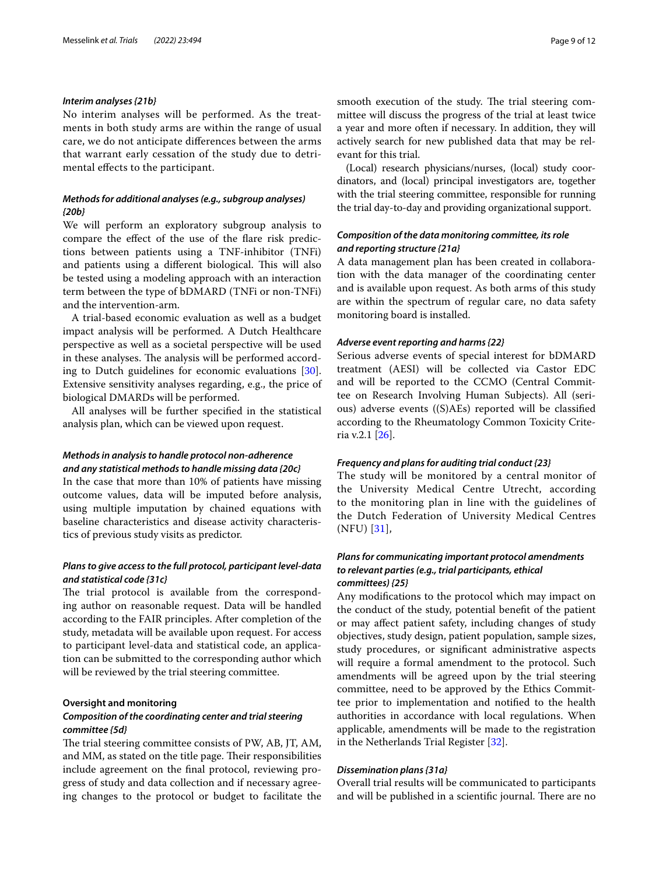#### *Interim analyses {21b}*

No interim analyses will be performed. As the treatments in both study arms are within the range of usual care, we do not anticipate diferences between the arms that warrant early cessation of the study due to detrimental efects to the participant.

# *Methods for additional analyses (e.g., subgroup analyses) {20b}*

We will perform an exploratory subgroup analysis to compare the efect of the use of the fare risk predictions between patients using a TNF-inhibitor (TNFi) and patients using a different biological. This will also be tested using a modeling approach with an interaction term between the type of bDMARD (TNFi or non-TNFi) and the intervention-arm.

A trial-based economic evaluation as well as a budget impact analysis will be performed. A Dutch Healthcare perspective as well as a societal perspective will be used in these analyses. The analysis will be performed according to Dutch guidelines for economic evaluations [\[30](#page-10-28)]. Extensive sensitivity analyses regarding, e.g., the price of biological DMARDs will be performed.

All analyses will be further specifed in the statistical analysis plan, which can be viewed upon request.

# *Methods in analysis to handle protocol non‑adherence and any statistical methods to handle missing data {20c}*

In the case that more than 10% of patients have missing outcome values, data will be imputed before analysis, using multiple imputation by chained equations with baseline characteristics and disease activity characteristics of previous study visits as predictor.

# *Plans to give access to the full protocol, participant level‑data and statistical code {31c}*

The trial protocol is available from the corresponding author on reasonable request. Data will be handled according to the FAIR principles. After completion of the study, metadata will be available upon request. For access to participant level-data and statistical code, an application can be submitted to the corresponding author which will be reviewed by the trial steering committee.

#### **Oversight and monitoring**

# *Composition of the coordinating center and trial steering committee {5d}*

The trial steering committee consists of PW, AB, JT, AM, and MM, as stated on the title page. Their responsibilities include agreement on the fnal protocol, reviewing progress of study and data collection and if necessary agreeing changes to the protocol or budget to facilitate the smooth execution of the study. The trial steering committee will discuss the progress of the trial at least twice a year and more often if necessary. In addition, they will actively search for new published data that may be relevant for this trial.

(Local) research physicians/nurses, (local) study coordinators, and (local) principal investigators are, together with the trial steering committee, responsible for running the trial day-to-day and providing organizational support.

# *Composition of the data monitoring committee, its role and reporting structure {21a}*

A data management plan has been created in collaboration with the data manager of the coordinating center and is available upon request. As both arms of this study are within the spectrum of regular care, no data safety monitoring board is installed.

#### *Adverse event reporting and harms {22}*

Serious adverse events of special interest for bDMARD treatment (AESI) will be collected via Castor EDC and will be reported to the CCMO (Central Committee on Research Involving Human Subjects). All (serious) adverse events ((S)AEs) reported will be classifed according to the Rheumatology Common Toxicity Criteria v.2.1 [[26\]](#page-10-24).

## *Frequency and plans for auditing trial conduct {23}*

The study will be monitored by a central monitor of the University Medical Centre Utrecht, according to the monitoring plan in line with the guidelines of the Dutch Federation of University Medical Centres (NFU) [\[31\]](#page-11-0),

# *Plans for communicating important protocol amendments to relevant parties (e.g., trial participants, ethical committees) {25}*

Any modifcations to the protocol which may impact on the conduct of the study, potential beneft of the patient or may afect patient safety, including changes of study objectives, study design, patient population, sample sizes, study procedures, or signifcant administrative aspects will require a formal amendment to the protocol. Such amendments will be agreed upon by the trial steering committee, need to be approved by the Ethics Committee prior to implementation and notifed to the health authorities in accordance with local regulations. When applicable, amendments will be made to the registration in the Netherlands Trial Register [[32\]](#page-11-1).

#### *Dissemination plans {31a}*

Overall trial results will be communicated to participants and will be published in a scientific journal. There are no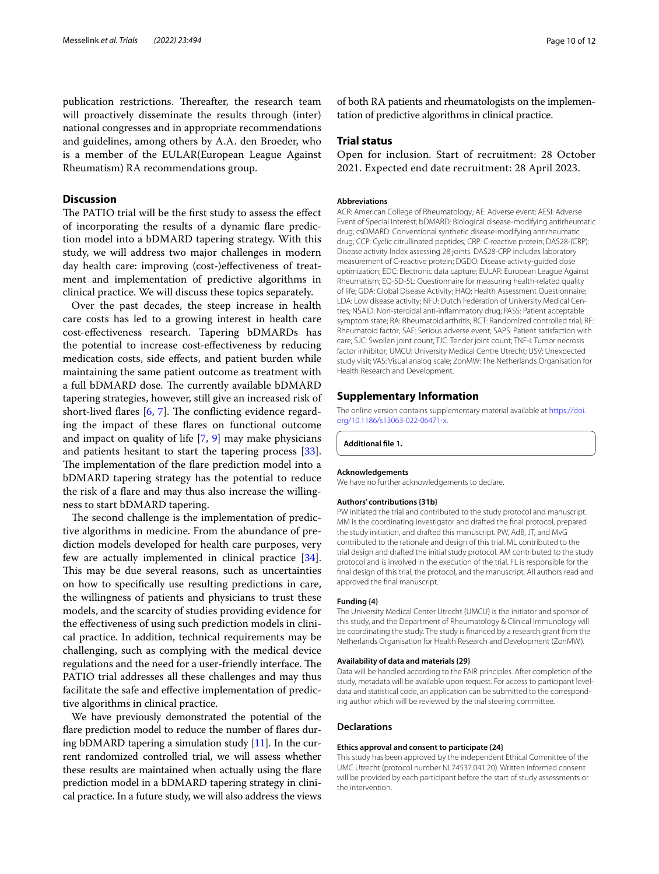publication restrictions. Thereafter, the research team will proactively disseminate the results through (inter) national congresses and in appropriate recommendations and guidelines, among others by A.A. den Broeder, who is a member of the EULAR(European League Against Rheumatism) RA recommendations group.

# **Discussion**

The PATIO trial will be the first study to assess the effect of incorporating the results of a dynamic fare prediction model into a bDMARD tapering strategy. With this study, we will address two major challenges in modern day health care: improving (cost-)efectiveness of treatment and implementation of predictive algorithms in clinical practice. We will discuss these topics separately.

Over the past decades, the steep increase in health care costs has led to a growing interest in health care cost-efectiveness research. Tapering bDMARDs has the potential to increase cost-efectiveness by reducing medication costs, side efects, and patient burden while maintaining the same patient outcome as treatment with a full bDMARD dose. The currently available bDMARD tapering strategies, however, still give an increased risk of short-lived flares  $[6, 7]$  $[6, 7]$  $[6, 7]$ . The conflicting evidence regarding the impact of these fares on functional outcome and impact on quality of life [\[7](#page-10-6), [9\]](#page-10-7) may make physicians and patients hesitant to start the tapering process [\[33](#page-11-2)]. The implementation of the flare prediction model into a bDMARD tapering strategy has the potential to reduce the risk of a fare and may thus also increase the willingness to start bDMARD tapering.

The second challenge is the implementation of predictive algorithms in medicine. From the abundance of prediction models developed for health care purposes, very few are actually implemented in clinical practice [\[34](#page-11-3)]. This may be due several reasons, such as uncertainties on how to specifcally use resulting predictions in care, the willingness of patients and physicians to trust these models, and the scarcity of studies providing evidence for the efectiveness of using such prediction models in clinical practice. In addition, technical requirements may be challenging, such as complying with the medical device regulations and the need for a user-friendly interface. The PATIO trial addresses all these challenges and may thus facilitate the safe and efective implementation of predictive algorithms in clinical practice.

We have previously demonstrated the potential of the flare prediction model to reduce the number of flares during bDMARD tapering a simulation study  $[11]$ . In the current randomized controlled trial, we will assess whether these results are maintained when actually using the fare prediction model in a bDMARD tapering strategy in clinical practice. In a future study, we will also address the views

of both RA patients and rheumatologists on the implementation of predictive algorithms in clinical practice.

#### **Trial status**

Open for inclusion. Start of recruitment: 28 October 2021. Expected end date recruitment: 28 April 2023.

#### **Abbreviations**

ACR: American College of Rheumatology; AE: Adverse event; AESI: Adverse Event of Special Interest; bDMARD: Biological disease-modifying antirheumatic drug; csDMARD: Conventional synthetic disease-modifying antirheumatic drug; CCP: Cyclic citrullinated peptides; CRP: C-reactive protein; DAS28-(CRP): Disease activity Index assessing 28 joints. DAS28-CRP includes laboratory measurement of C-reactive protein; DGDO: Disease activity-guided dose optimization; EDC: Electronic data capture; EULAR: European League Against Rheumatism; EQ-5D-5L: Questionnaire for measuring health-related quality of life; GDA: Global Disease Activity; HAQ: Health Assessment Questionnaire; LDA: Low disease activity; NFU: Dutch Federation of University Medical Centres; NSAID: Non-steroidal anti-infammatory drug; PASS: Patient acceptable symptom state; RA: Rheumatoid arthritis; RCT: Randomized controlled trial; RF: Rheumatoid factor; SAE: Serious adverse event; SAPS: Patient satisfaction with care; SJC: Swollen joint count; TJC: Tender joint count; TNF-i: Tumor necrosis factor inhibitor; UMCU: University Medical Centre Utrecht; USV: Unexpected study visit; VAS: Visual analog scale; ZonMW: The Netherlands Organisation for Health Research and Development.

# **Supplementary Information**

The online version contains supplementary material available at [https://doi.](https://doi.org/10.1186/s13063-022-06471-x) [org/10.1186/s13063-022-06471-x.](https://doi.org/10.1186/s13063-022-06471-x)

**Additional fle 1.**

#### **Acknowledgements**

We have no further acknowledgements to declare.

#### **Authors' contributions {31b}**

PW initiated the trial and contributed to the study protocol and manuscript. MM is the coordinating investigator and drafted the fnal protocol, prepared the study initiation, and drafted this manuscript. PW, AdB, JT, and MvG contributed to the rationale and design of this trial. ML contributed to the trial design and drafted the initial study protocol. AM contributed to the study protocol and is involved in the execution of the trial. FL is responsible for the fnal design of this trial, the protocol, and the manuscript. All authors read and approved the fnal manuscript.

#### **Funding {4}**

The University Medical Center Utrecht (UMCU) is the initiator and sponsor of this study, and the Department of Rheumatology & Clinical Immunology will be coordinating the study. The study is fnanced by a research grant from the Netherlands Organisation for Health Research and Development (ZonMW).

#### **Availability of data and materials {29}**

Data will be handled according to the FAIR principles. After completion of the study, metadata will be available upon request. For access to participant leveldata and statistical code, an application can be submitted to the corresponding author which will be reviewed by the trial steering committee.

#### **Declarations**

#### **Ethics approval and consent to participate {24}**

This study has been approved by the independent Ethical Committee of the UMC Utrecht (protocol number NL74537.041.20). Written informed consent will be provided by each participant before the start of study assessments or the intervention.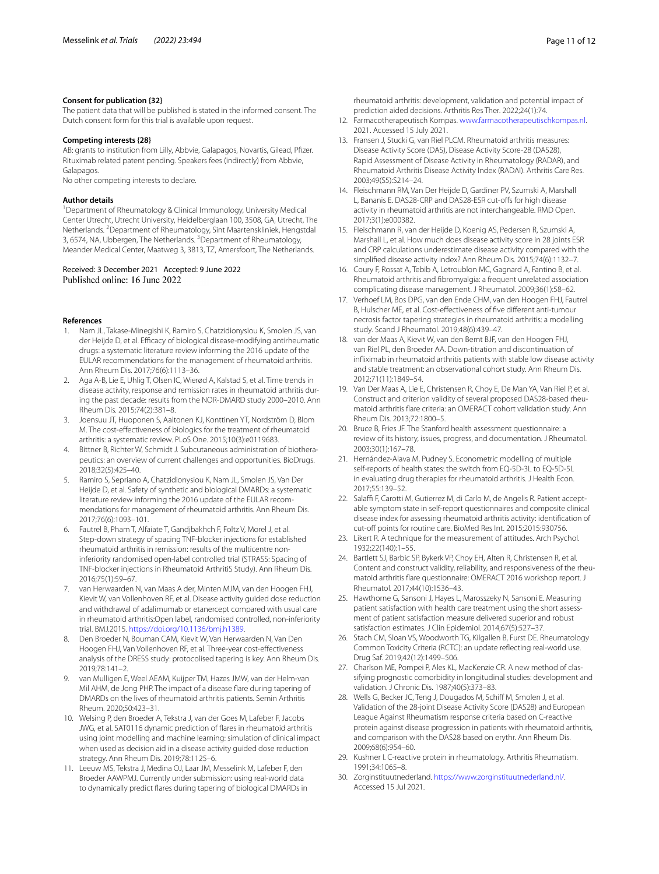#### **Consent for publication {32}**

The patient data that will be published is stated in the informed consent. The Dutch consent form for this trial is available upon request.

#### **Competing interests {28}**

AB: grants to institution from Lilly, Abbvie, Galapagos, Novartis, Gilead, Pfizer. Rituximab related patent pending. Speakers fees (indirectly) from Abbvie, Galapagos.

No other competing interests to declare.

#### **Author details**

<sup>1</sup> Department of Rheumatology & Clinical Immunology, University Medical Center Utrecht, Utrecht University, Heidelberglaan 100, 3508, GA, Utrecht, The Netherlands. <sup>2</sup> Department of Rheumatology, Sint Maartenskliniek, Hengstdal 3, 6574, NA, Ubbergen, The Netherlands. <sup>3</sup> Department of Rheumatology, Meander Medical Center, Maatweg 3, 3813, TZ, Amersfoort, The Netherlands.

# Received: 3 December 2021 Accepted: 9 June 2022

#### **References**

- <span id="page-10-0"></span>1. Nam JL, Takase-Minegishi K, Ramiro S, Chatzidionysiou K, Smolen JS, van der Heijde D, et al. Efficacy of biological disease-modifying antirheumatic drugs: a systematic literature review informing the 2016 update of the EULAR recommendations for the management of rheumatoid arthritis. Ann Rheum Dis. 2017;76(6):1113–36.
- <span id="page-10-1"></span>2. Aga A-B, Lie E, Uhlig T, Olsen IC, Wierød A, Kalstad S, et al. Time trends in disease activity, response and remission rates in rheumatoid arthritis during the past decade: results from the NOR-DMARD study 2000–2010. Ann Rheum Dis. 2015;74(2):381–8.
- <span id="page-10-2"></span>3. Joensuu JT, Huoponen S, Aaltonen KJ, Konttinen YT, Nordström D, Blom M. The cost-efectiveness of biologics for the treatment of rheumatoid arthritis: a systematic review. PLoS One. 2015;10(3):e0119683.
- 4. Bittner B, Richter W, Schmidt J. Subcutaneous administration of biotherapeutics: an overview of current challenges and opportunities. BioDrugs. 2018;32(5):425–40.
- <span id="page-10-3"></span>5. Ramiro S, Sepriano A, Chatzidionysiou K, Nam JL, Smolen JS, Van Der Heijde D, et al. Safety of synthetic and biological DMARDs: a systematic literature review informing the 2016 update of the EULAR recommendations for management of rheumatoid arthritis. Ann Rheum Dis. 2017;76(6):1093–101.
- <span id="page-10-4"></span>6. Fautrel B, Pham T, Alfaiate T, Gandjbakhch F, Foltz V, Morel J, et al. Step-down strategy of spacing TNF-blocker injections for established rheumatoid arthritis in remission: results of the multicentre noninferiority randomised open-label controlled trial (STRASS: Spacing of TNF-blocker injections in Rheumatoid ArthritiS Study). Ann Rheum Dis. 2016;75(1):59–67.
- <span id="page-10-6"></span>7. van Herwaarden N, van Maas A der, Minten MJM, van den Hoogen FHJ, Kievit W, van Vollenhoven RF, et al. Disease activity guided dose reduction and withdrawal of adalimumab or etanercept compared with usual care in rheumatoid arthritis:Open label, randomised controlled, non-inferiority trial. BMJ.2015. <https://doi.org/10.1136/bmj.h1389>.
- <span id="page-10-5"></span>8. Den Broeder N, Bouman CAM, Kievit W, Van Herwaarden N, Van Den Hoogen FHJ, Van Vollenhoven RF, et al. Three-year cost-efectiveness analysis of the DRESS study: protocolised tapering is key. Ann Rheum Dis. 2019;78:141–2.
- <span id="page-10-7"></span>9. van Mulligen E, Weel AEAM, Kuijper TM, Hazes JMW, van der Helm-van Mil AHM, de Jong PHP. The impact of a disease fare during tapering of DMARDs on the lives of rheumatoid arthritis patients. Semin Arthritis Rheum. 2020;50:423–31.
- <span id="page-10-8"></span>10. Welsing P, den Broeder A, Tekstra J, van der Goes M, Lafeber F, Jacobs JWG, et al. SAT0116 dynamic prediction of fares in rheumatoid arthritis using joint modelling and machine learning: simulation of clinical impact when used as decision aid in a disease activity guided dose reduction strategy. Ann Rheum Dis. 2019;78:1125–6.
- <span id="page-10-9"></span>11. Leeuw MS, Tekstra J, Medina OJ, Laar JM, Messelink M, Lafeber F, den Broeder AAWPMJ. Currently under submission: using real-world data to dynamically predict fares during tapering of biological DMARDs in

rheumatoid arthritis: development, validation and potential impact of prediction aided decisions. Arthritis Res Ther. 2022;24(1):74.

- <span id="page-10-10"></span>12. Farmacotherapeutisch Kompas. [www.farmacotherapeutischkompas.nl](http://www.farmacotherapeutischkompas.nl). 2021. Accessed 15 July 2021.
- <span id="page-10-11"></span>13. Fransen J, Stucki G, van Riel PLCM. Rheumatoid arthritis measures: Disease Activity Score (DAS), Disease Activity Score-28 (DAS28), Rapid Assessment of Disease Activity in Rheumatology (RADAR), and Rheumatoid Arthritis Disease Activity Index (RADAI). Arthritis Care Res. 2003;49(S5):S214–24.
- <span id="page-10-16"></span>14. Fleischmann RM, Van Der Heijde D, Gardiner PV, Szumski A, Marshall L, Bananis E. DAS28-CRP and DAS28-ESR cut-ofs for high disease activity in rheumatoid arthritis are not interchangeable. RMD Open. 2017;3(1):e000382.
- <span id="page-10-12"></span>15. Fleischmann R, van der Heijde D, Koenig AS, Pedersen R, Szumski A, Marshall L, et al. How much does disease activity score in 28 joints ESR and CRP calculations underestimate disease activity compared with the simplifed disease activity index? Ann Rheum Dis. 2015;74(6):1132–7.
- <span id="page-10-13"></span>16. Coury F, Rossat A, Tebib A, Letroublon MC, Gagnard A, Fantino B, et al. Rheumatoid arthritis and fbromyalgia: a frequent unrelated association complicating disease management. J Rheumatol. 2009;36(1):58–62.
- <span id="page-10-14"></span>17. Verhoef LM, Bos DPG, van den Ende CHM, van den Hoogen FHJ, Fautrel B, Hulscher ME, et al. Cost-efectiveness of fve diferent anti-tumour necrosis factor tapering strategies in rheumatoid arthritis: a modelling study. Scand J Rheumatol. 2019;48(6):439–47.
- <span id="page-10-15"></span>18. van der Maas A, Kievit W, van den Bemt BJF, van den Hoogen FHJ, van Riel PL, den Broeder AA. Down-titration and discontinuation of infiximab in rheumatoid arthritis patients with stable low disease activity and stable treatment: an observational cohort study. Ann Rheum Dis. 2012;71(11):1849–54.
- <span id="page-10-17"></span>19. Van Der Maas A, Lie E, Christensen R, Choy E, De Man YA, Van Riel P, et al. Construct and criterion validity of several proposed DAS28-based rheumatoid arthritis fare criteria: an OMERACT cohort validation study. Ann Rheum Dis. 2013;72:1800–5.
- <span id="page-10-18"></span>20. Bruce B, Fries JF. The Stanford health assessment questionnaire: a review of its history, issues, progress, and documentation. J Rheumatol. 2003;30(1):167–78.
- <span id="page-10-19"></span>21. Hernández-Alava M, Pudney S. Econometric modelling of multiple self-reports of health states: the switch from EQ-5D-3L to EQ-5D-5L in evaluating drug therapies for rheumatoid arthritis. J Health Econ. 2017;55:139–52.
- <span id="page-10-20"></span>22. Salaffi F, Carotti M, Gutierrez M, di Carlo M, de Angelis R. Patient acceptable symptom state in self-report questionnaires and composite clinical disease index for assessing rheumatoid arthritis activity: identifcation of cut-off points for routine care. BioMed Res Int. 2015;2015:930756.
- <span id="page-10-21"></span>23. Likert R. A technique for the measurement of attitudes. Arch Psychol. 1932;22(140):1–55.
- <span id="page-10-22"></span>24. Bartlett SJ, Barbic SP, Bykerk VP, Choy EH, Alten R, Christensen R, et al. Content and construct validity, reliability, and responsiveness of the rheumatoid arthritis fare questionnaire: OMERACT 2016 workshop report. J Rheumatol. 2017;44(10):1536–43.
- <span id="page-10-23"></span>25. Hawthorne G, Sansoni J, Hayes L, Marosszeky N, Sansoni E. Measuring patient satisfaction with health care treatment using the short assessment of patient satisfaction measure delivered superior and robust satisfaction estimates. J Clin Epidemiol. 2014;67(5):527–37.
- <span id="page-10-24"></span>26. Stach CM, Sloan VS, Woodworth TG, Kilgallen B, Furst DE. Rheumatology Common Toxicity Criteria (RCTC): an update refecting real-world use. Drug Saf. 2019;42(12):1499–506.
- <span id="page-10-25"></span>27. Charlson ME, Pompei P, Ales KL, MacKenzie CR. A new method of classifying prognostic comorbidity in longitudinal studies: development and validation. J Chronic Dis. 1987;40(5):373–83.
- <span id="page-10-26"></span>28. Wells G, Becker JC, Teng J, Dougados M, Schiff M, Smolen J, et al. Validation of the 28-joint Disease Activity Score (DAS28) and European League Against Rheumatism response criteria based on C-reactive protein against disease progression in patients with rheumatoid arthritis, and comparison with the DAS28 based on erythr. Ann Rheum Dis. 2009;68(6):954–60.
- <span id="page-10-27"></span>29. Kushner I. C-reactive protein in rheumatology. Arthritis Rheumatism. 1991;34:1065–8.
- <span id="page-10-28"></span>30. Zorginstituutnederland.<https://www.zorginstituutnederland.nl/>. Accessed 15 Jul 2021.